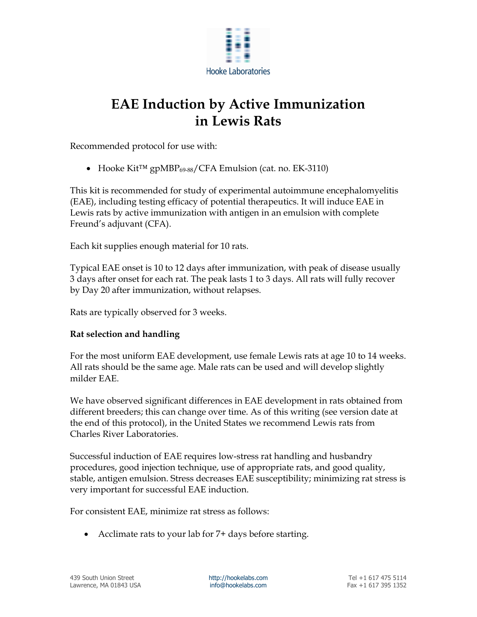

# EAE Induction by Active Immunization in Lewis Rats

Recommended protocol for use with:

Hooke Kit™ gpMBP69-88/CFA Emulsion (cat. no. EK-3110)

This kit is recommended for study of experimental autoimmune encephalomyelitis (EAE), including testing efficacy of potential therapeutics. It will induce EAE in Lewis rats by active immunization with antigen in an emulsion with complete Freund's adjuvant (CFA).

Each kit supplies enough material for 10 rats.

Typical EAE onset is 10 to 12 days after immunization, with peak of disease usually 3 days after onset for each rat. The peak lasts 1 to 3 days. All rats will fully recover by Day 20 after immunization, without relapses.

Rats are typically observed for 3 weeks.

# Rat selection and handling

For the most uniform EAE development, use female Lewis rats at age 10 to 14 weeks. All rats should be the same age. Male rats can be used and will develop slightly milder EAE.

We have observed significant differences in EAE development in rats obtained from different breeders; this can change over time. As of this writing (see version date at the end of this protocol), in the United States we recommend Lewis rats from Charles River Laboratories.

Successful induction of EAE requires low-stress rat handling and husbandry procedures, good injection technique, use of appropriate rats, and good quality, stable, antigen emulsion. Stress decreases EAE susceptibility; minimizing rat stress is very important for successful EAE induction.

For consistent EAE, minimize rat stress as follows:

Acclimate rats to your lab for 7+ days before starting.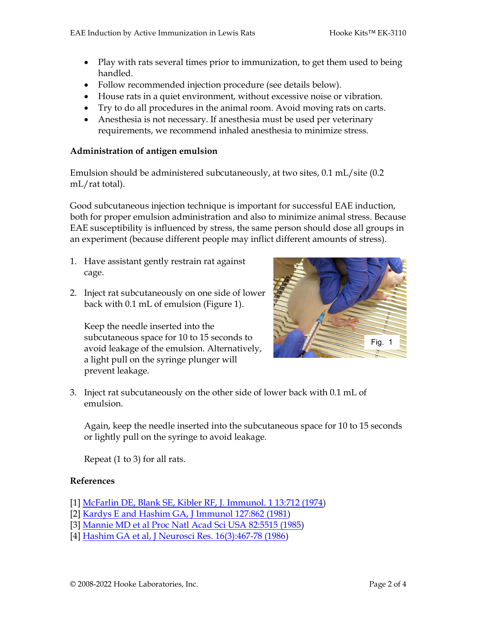- Play with rats several times prior to immunization, to get them used to being handled.
- Follow recommended injection procedure (see details below).
- House rats in a quiet environment, without excessive noise or vibration.
- Try to do all procedures in the animal room. Avoid moving rats on carts.
- Anesthesia is not necessary. If anesthesia must be used per veterinary requirements, we recommend inhaled anesthesia to minimize stress.

### Administration of antigen emulsion

Emulsion should be administered subcutaneously, at two sites, 0.1 mL/site (0.2 mL/rat total).

Good subcutaneous injection technique is important for successful EAE induction, both for proper emulsion administration and also to minimize animal stress. Because EAE susceptibility is influenced by stress, the same person should dose all groups in an experiment (because different people may inflict different amounts of stress).

- 1. Have assistant gently restrain rat against cage.
- 2. Inject rat subcutaneously on one side of lower back with 0.1 mL of emulsion (Figure 1).

Keep the needle inserted into the subcutaneous space for 10 to 15 seconds to avoid leakage of the emulsion. Alternatively, a light pull on the syringe plunger will prevent leakage.



3. Inject rat subcutaneously on the other side of lower back with 0.1 mL of emulsion.

Again, keep the needle inserted into the subcutaneous space for 10 to 15 seconds or lightly pull on the syringe to avoid leakage.

Repeat (1 to 3) for all rats.

#### References

- [1] McFarlin DE, Blank SE, Kibler RF, J. Immunol. 1 13:712 (1974)
- [2] Kardys E and Hashim GA, J Immunol 127:862 (1981)
- [3] Mannie MD et al Proc Natl Acad Sci USA 82:5515 (1985)
- [4] Hashim GA et al, J Neurosci Res. 16(3):467-78 (1986)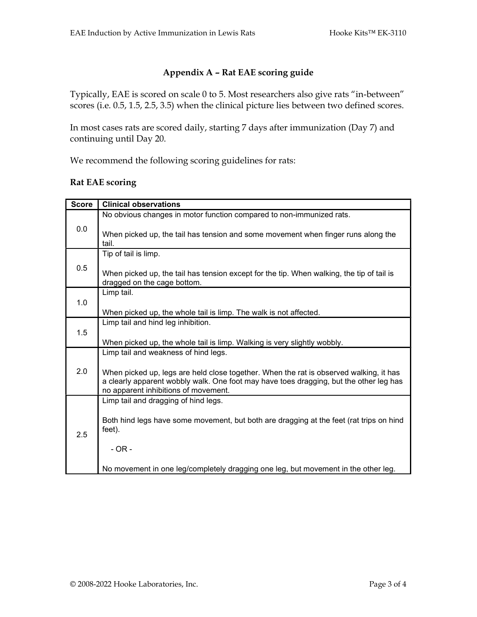# Appendix A – Rat EAE scoring guide

Typically, EAE is scored on scale 0 to 5. Most researchers also give rats "in-between" scores (i.e. 0.5, 1.5, 2.5, 3.5) when the clinical picture lies between two defined scores.

In most cases rats are scored daily, starting 7 days after immunization (Day 7) and continuing until Day 20.

We recommend the following scoring guidelines for rats:

# Rat EAE scoring

| <b>Score</b> | <b>Clinical observations</b>                                                                                                                                                                                             |
|--------------|--------------------------------------------------------------------------------------------------------------------------------------------------------------------------------------------------------------------------|
| 0.0          | No obvious changes in motor function compared to non-immunized rats.<br>When picked up, the tail has tension and some movement when finger runs along the                                                                |
|              | tail.                                                                                                                                                                                                                    |
| 0.5          | Tip of tail is limp.                                                                                                                                                                                                     |
|              | When picked up, the tail has tension except for the tip. When walking, the tip of tail is<br>dragged on the cage bottom.                                                                                                 |
| 1.0          | Limp tail.                                                                                                                                                                                                               |
|              | When picked up, the whole tail is limp. The walk is not affected.                                                                                                                                                        |
| 1.5          | Limp tail and hind leg inhibition.                                                                                                                                                                                       |
|              | When picked up, the whole tail is limp. Walking is very slightly wobbly.                                                                                                                                                 |
| 2.0          | Limp tail and weakness of hind legs.                                                                                                                                                                                     |
|              | When picked up, legs are held close together. When the rat is observed walking, it has<br>a clearly apparent wobbly walk. One foot may have toes dragging, but the other leg has<br>no apparent inhibitions of movement. |
| 2.5          | Limp tail and dragging of hind legs.                                                                                                                                                                                     |
|              | Both hind legs have some movement, but both are dragging at the feet (rat trips on hind<br>feet).                                                                                                                        |
|              | $-OR -$                                                                                                                                                                                                                  |
|              | No movement in one leg/completely dragging one leg, but movement in the other leg.                                                                                                                                       |